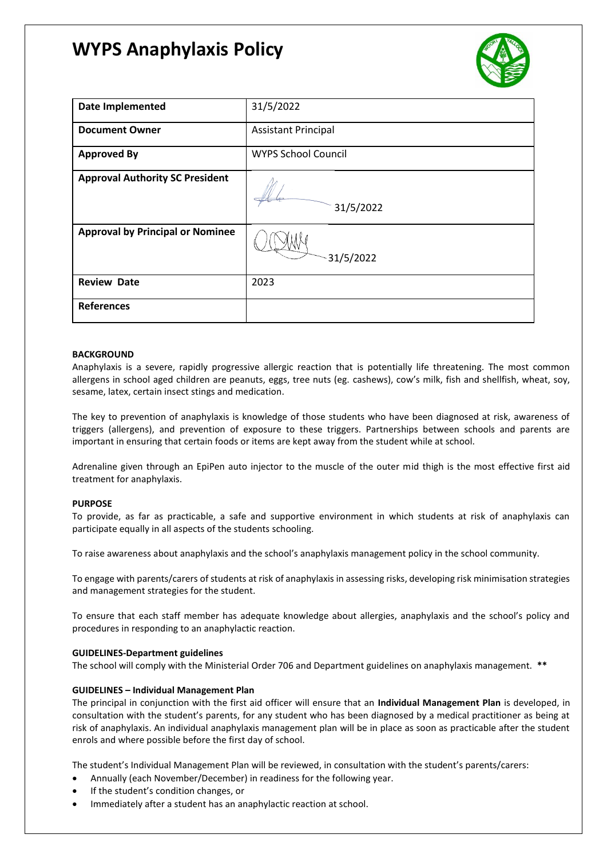# **WYPS Anaphylaxis Policy**



| Date Implemented                        | 31/5/2022                  |
|-----------------------------------------|----------------------------|
| <b>Document Owner</b>                   | <b>Assistant Principal</b> |
| <b>Approved By</b>                      | <b>WYPS School Council</b> |
| <b>Approval Authority SC President</b>  | 31/5/2022                  |
| <b>Approval by Principal or Nominee</b> | 31/5/2022                  |
| <b>Review Date</b>                      | 2023                       |
| <b>References</b>                       |                            |

### **BACKGROUND**

Anaphylaxis is a severe, rapidly progressive allergic reaction that is potentially life threatening. The most common allergens in school aged children are peanuts, eggs, tree nuts (eg. cashews), cow's milk, fish and shellfish, wheat, soy, sesame, latex, certain insect stings and medication.

The key to prevention of anaphylaxis is knowledge of those students who have been diagnosed at risk, awareness of triggers (allergens), and prevention of exposure to these triggers. Partnerships between schools and parents are important in ensuring that certain foods or items are kept away from the student while at school.

Adrenaline given through an EpiPen auto injector to the muscle of the outer mid thigh is the most effective first aid treatment for anaphylaxis.

### **PURPOSE**

To provide, as far as practicable, a safe and supportive environment in which students at risk of anaphylaxis can participate equally in all aspects of the students schooling.

To raise awareness about anaphylaxis and the school's anaphylaxis management policy in the school community.

To engage with parents/carers of students at risk of anaphylaxis in assessing risks, developing risk minimisation strategies and management strategies for the student.

To ensure that each staff member has adequate knowledge about allergies, anaphylaxis and the school's policy and procedures in responding to an anaphylactic reaction.

### **GUIDELINES-Department guidelines**

The school will comply with the Ministerial Order 706 and Department guidelines on anaphylaxis management. **\*\***

### **GUIDELINES – Individual Management Plan**

The principal in conjunction with the first aid officer will ensure that an **Individual Management Plan** is developed, in consultation with the student's parents, for any student who has been diagnosed by a medical practitioner as being at risk of anaphylaxis. An individual anaphylaxis management plan will be in place as soon as practicable after the student enrols and where possible before the first day of school.

The student's Individual Management Plan will be reviewed, in consultation with the student's parents/carers:

- Annually (each November/December) in readiness for the following year.
- If the student's condition changes, or
- Immediately after a student has an anaphylactic reaction at school.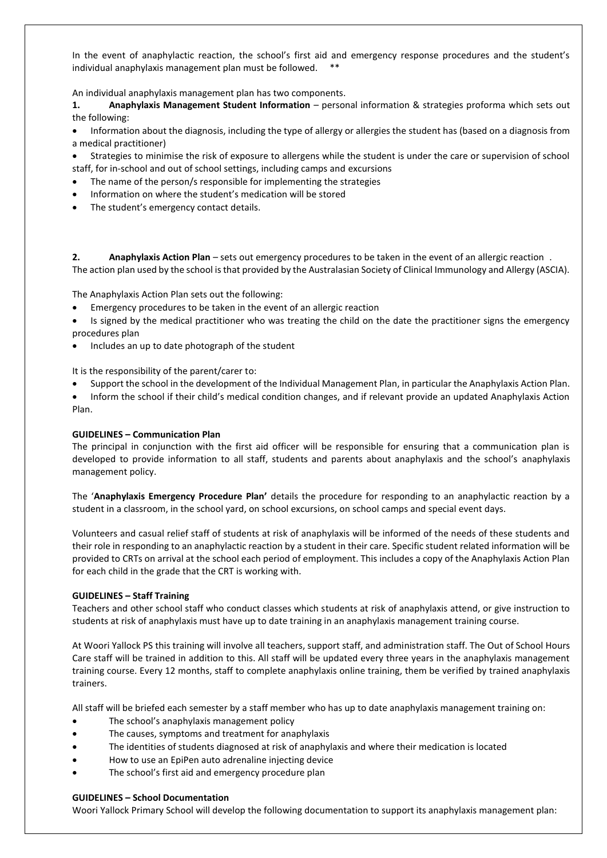In the event of anaphylactic reaction, the school's first aid and emergency response procedures and the student's individual anaphylaxis management plan must be followed. \*\*

An individual anaphylaxis management plan has two components.

**1. Anaphylaxis Management Student Information** – personal information & strategies proforma which sets out the following:

• Information about the diagnosis, including the type of allergy or allergies the student has (based on a diagnosis from a medical practitioner)

• Strategies to minimise the risk of exposure to allergens while the student is under the care or supervision of school staff, for in-school and out of school settings, including camps and excursions

- The name of the person/s responsible for implementing the strategies
- Information on where the student's medication will be stored
- The student's emergency contact details.

**2. Anaphylaxis Action Plan** – sets out emergency procedures to be taken in the event of an allergic reaction . The action plan used by the school is that provided by the Australasian Society of Clinical Immunology and Allergy (ASCIA).

The Anaphylaxis Action Plan sets out the following:

- Emergency procedures to be taken in the event of an allergic reaction
- Is signed by the medical practitioner who was treating the child on the date the practitioner signs the emergency procedures plan
- Includes an up to date photograph of the student

It is the responsibility of the parent/carer to:

- Support the school in the development of the Individual Management Plan, in particular the Anaphylaxis Action Plan.
- Inform the school if their child's medical condition changes, and if relevant provide an updated Anaphylaxis Action Plan.

### **GUIDELINES – Communication Plan**

The principal in conjunction with the first aid officer will be responsible for ensuring that a communication plan is developed to provide information to all staff, students and parents about anaphylaxis and the school's anaphylaxis management policy.

The '**Anaphylaxis Emergency Procedure Plan'** details the procedure for responding to an anaphylactic reaction by a student in a classroom, in the school yard, on school excursions, on school camps and special event days.

Volunteers and casual relief staff of students at risk of anaphylaxis will be informed of the needs of these students and their role in responding to an anaphylactic reaction by a student in their care. Specific student related information will be provided to CRTs on arrival at the school each period of employment. This includes a copy of the Anaphylaxis Action Plan for each child in the grade that the CRT is working with*.*

### **GUIDELINES – Staff Training**

Teachers and other school staff who conduct classes which students at risk of anaphylaxis attend, or give instruction to students at risk of anaphylaxis must have up to date training in an anaphylaxis management training course.

At Woori Yallock PS this training will involve all teachers, support staff, and administration staff. The Out of School Hours Care staff will be trained in addition to this. All staff will be updated every three years in the anaphylaxis management training course. Every 12 months, staff to complete anaphylaxis online training, them be verified by trained anaphylaxis trainers.

All staff will be briefed each semester by a staff member who has up to date anaphylaxis management training on:

- The school's anaphylaxis management policy
- The causes, symptoms and treatment for anaphylaxis
- The identities of students diagnosed at risk of anaphylaxis and where their medication is located
- How to use an EpiPen auto adrenaline injecting device
- The school's first aid and emergency procedure plan

### **GUIDELINES – School Documentation**

Woori Yallock Primary School will develop the following documentation to support its anaphylaxis management plan: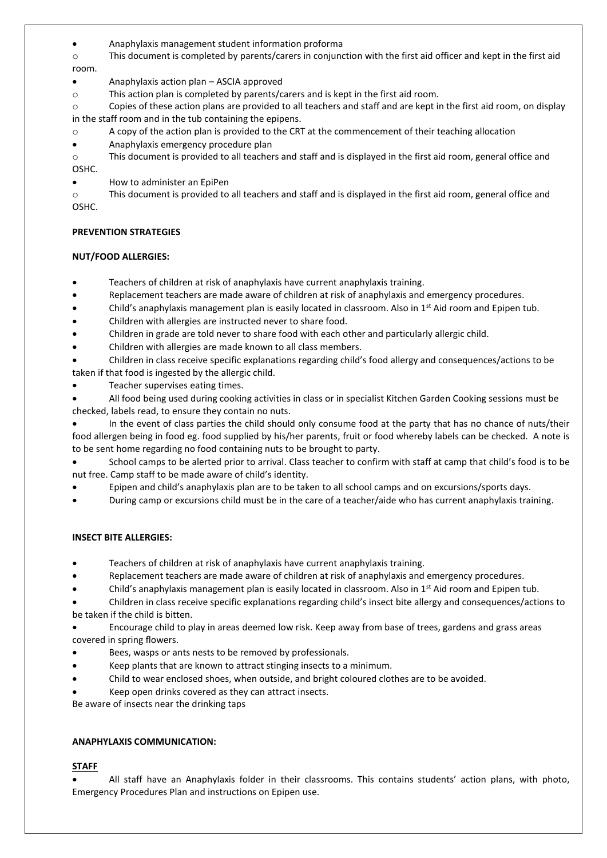• Anaphylaxis management student information proforma

o This document is completed by parents/carers in conjunction with the first aid officer and kept in the first aid room.

- Anaphylaxis action plan ASCIA approved
- o This action plan is completed by parents/carers and is kept in the first aid room.

o Copies of these action plans are provided to all teachers and staff and are kept in the first aid room, on display in the staff room and in the tub containing the epipens.

- $\circ$  A copy of the action plan is provided to the CRT at the commencement of their teaching allocation
- Anaphylaxis emergency procedure plan

o This document is provided to all teachers and staff and is displayed in the first aid room, general office and OSHC.

• How to administer an EpiPen

o This document is provided to all teachers and staff and is displayed in the first aid room, general office and OSHC.

## **PREVENTION STRATEGIES**

## **NUT/FOOD ALLERGIES:**

- Teachers of children at risk of anaphylaxis have current anaphylaxis training.
- Replacement teachers are made aware of children at risk of anaphylaxis and emergency procedures.
- Child's anaphylaxis management plan is easily located in classroom. Also in  $1<sup>st</sup>$  Aid room and Epipen tub.
- Children with allergies are instructed never to share food.
- Children in grade are told never to share food with each other and particularly allergic child.
- Children with allergies are made known to all class members.
- Children in class receive specific explanations regarding child's food allergy and consequences/actions to be taken if that food is ingested by the allergic child.
- Teacher supervises eating times.

• All food being used during cooking activities in class or in specialist Kitchen Garden Cooking sessions must be checked, labels read, to ensure they contain no nuts.

• In the event of class parties the child should only consume food at the party that has no chance of nuts/their food allergen being in food eg. food supplied by his/her parents, fruit or food whereby labels can be checked. A note is to be sent home regarding no food containing nuts to be brought to party.

School camps to be alerted prior to arrival. Class teacher to confirm with staff at camp that child's food is to be nut free. Camp staff to be made aware of child's identity.

- Epipen and child's anaphylaxis plan are to be taken to all school camps and on excursions/sports days.
- During camp or excursions child must be in the care of a teacher/aide who has current anaphylaxis training.

## **INSECT BITE ALLERGIES:**

- Teachers of children at risk of anaphylaxis have current anaphylaxis training.
- Replacement teachers are made aware of children at risk of anaphylaxis and emergency procedures.
- Child's anaphylaxis management plan is easily located in classroom. Also in 1<sup>st</sup> Aid room and Epipen tub.

• Children in class receive specific explanations regarding child's insect bite allergy and consequences/actions to be taken if the child is bitten.

• Encourage child to play in areas deemed low risk. Keep away from base of trees, gardens and grass areas covered in spring flowers.

- Bees, wasps or ants nests to be removed by professionals.
- Keep plants that are known to attract stinging insects to a minimum.
- Child to wear enclosed shoes, when outside, and bright coloured clothes are to be avoided.
- Keep open drinks covered as they can attract insects.

Be aware of insects near the drinking taps

## **ANAPHYLAXIS COMMUNICATION:**

## **STAFF**

• All staff have an Anaphylaxis folder in their classrooms. This contains students' action plans, with photo, Emergency Procedures Plan and instructions on Epipen use.